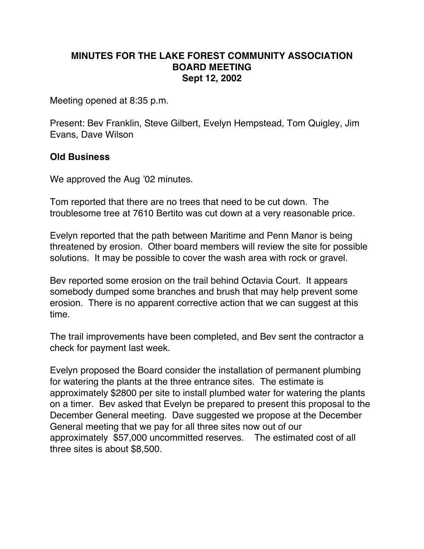## **MINUTES FOR THE LAKE FOREST COMMUNITY ASSOCIATION BOARD MEETING Sept 12, 2002**

Meeting opened at 8:35 p.m.

Present: Bev Franklin, Steve Gilbert, Evelyn Hempstead, Tom Quigley, Jim Evans, Dave Wilson

## **Old Business**

We approved the Aug '02 minutes.

Tom reported that there are no trees that need to be cut down. The troublesome tree at 7610 Bertito was cut down at a very reasonable price.

Evelyn reported that the path between Maritime and Penn Manor is being threatened by erosion. Other board members will review the site for possible solutions. It may be possible to cover the wash area with rock or gravel.

Bev reported some erosion on the trail behind Octavia Court. It appears somebody dumped some branches and brush that may help prevent some erosion. There is no apparent corrective action that we can suggest at this time.

The trail improvements have been completed, and Bev sent the contractor a check for payment last week.

Evelyn proposed the Board consider the installation of permanent plumbing for watering the plants at the three entrance sites. The estimate is approximately \$2800 per site to install plumbed water for watering the plants on a timer. Bev asked that Evelyn be prepared to present this proposal to the December General meeting. Dave suggested we propose at the December General meeting that we pay for all three sites now out of our approximately \$57,000 uncommitted reserves. The estimated cost of all three sites is about \$8,500.